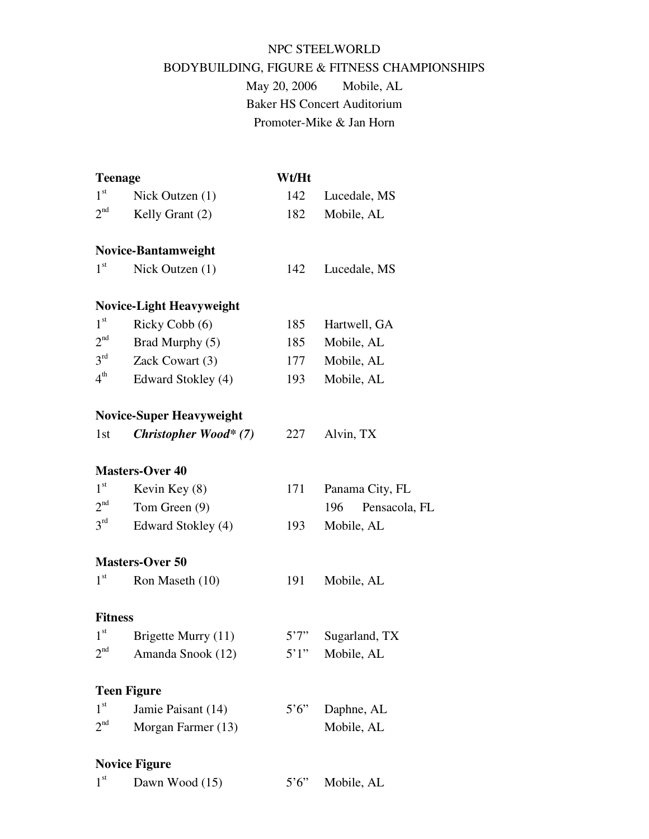# NPC STEELWORLD BODYBUILDING, FIGURE & FITNESS CHAMPIONSHIPS

May 20, 2006 Mobile, AL Baker HS Concert Auditorium Promoter-Mike & Jan Horn

| <b>Teenage</b>  |                                 | Wt/Ht                |                   |  |
|-----------------|---------------------------------|----------------------|-------------------|--|
| $1^{\rm st}$    | Nick Outzen (1)                 | 142                  | Lucedale, MS      |  |
| 2 <sup>nd</sup> | Kelly Grant (2)                 | 182                  | Mobile, AL        |  |
|                 | <b>Novice-Bantamweight</b>      |                      |                   |  |
| 1 <sup>st</sup> | Nick Outzen (1)                 | 142                  | Lucedale, MS      |  |
|                 | <b>Novice-Light Heavyweight</b> |                      |                   |  |
| $1^{\rm st}$    | Ricky Cobb (6)                  | 185                  | Hartwell, GA      |  |
| 2 <sup>nd</sup> | Brad Murphy (5)                 | 185                  | Mobile, AL        |  |
| $3^{\text{rd}}$ | Zack Cowart (3)                 | 177                  | Mobile, AL        |  |
| $4^{\rm th}$    | Edward Stokley (4)              | 193                  | Mobile, AL        |  |
|                 | <b>Novice-Super Heavyweight</b> |                      |                   |  |
| 1st             | <b>Christopher Wood* (7)</b>    | 227                  | Alvin, TX         |  |
|                 | <b>Masters-Over 40</b>          |                      |                   |  |
| 1 <sup>st</sup> | Kevin Key (8)                   | 171                  | Panama City, FL   |  |
| 2 <sup>nd</sup> | Tom Green (9)                   |                      | 196 Pensacola, FL |  |
| $3^{\text{rd}}$ | Edward Stokley (4)              | 193                  | Mobile, AL        |  |
|                 | <b>Masters-Over 50</b>          |                      |                   |  |
| 1 <sup>st</sup> | Ron Maseth (10)                 | 191                  | Mobile, AL        |  |
| <b>Fitness</b>  |                                 |                      |                   |  |
| 1 <sup>st</sup> | Brigette Murry (11)             | 5'7''                | Sugarland, TX     |  |
| 2 <sup>nd</sup> | Amanda Snook (12)               | 5'1''                | Mobile, AL        |  |
|                 | <b>Teen Figure</b>              |                      |                   |  |
| 1 <sup>st</sup> | Jamie Paisant (14)              | $5^{\circ}6^{\circ}$ | Daphne, AL        |  |
| $2^{\text{nd}}$ | Morgan Farmer (13)              |                      | Mobile, AL        |  |
|                 | <b>Novice Figure</b>            |                      |                   |  |
| 1 <sup>st</sup> | Dawn Wood (15)                  | $5^{\circ}6^{\circ}$ | Mobile, AL        |  |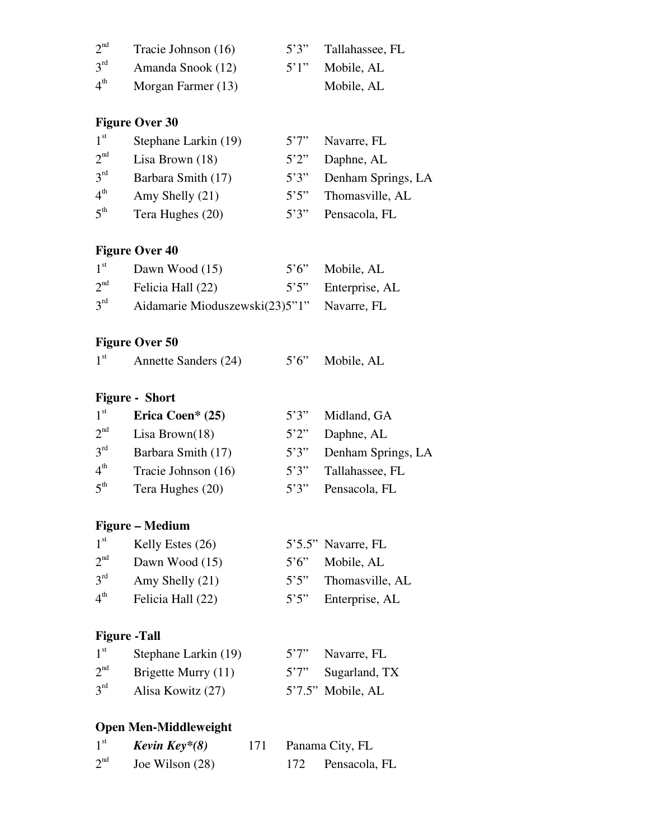| 2 <sup>nd</sup> | Tracie Johnson (16) | 5'3'' | Tallahassee, FL |
|-----------------|---------------------|-------|-----------------|
| $3^{rd}$        | Amanda Snook (12)   | 5'1'' | Mobile, AL      |
| $4^{\text{th}}$ | Morgan Farmer (13)  |       | Mobile, AL      |

## **Figure Over 30**

| 1 <sup>st</sup> | Stephane Larkin (19) | 5'7'' | Navarre, FL        |
|-----------------|----------------------|-------|--------------------|
| 2 <sup>nd</sup> | Lisa Brown $(18)$    | 5'2'' | Daphne, AL         |
| 3 <sup>rd</sup> | Barbara Smith (17)   | 5'3'' | Denham Springs, LA |
| 4 <sup>th</sup> | Amy Shelly (21)      | 5'5'' | Thomasville, AL    |
| 5 <sup>th</sup> | Tera Hughes (20)     | 5'3'' | Pensacola, FL      |

#### **Figure Over 40**

| 1 <sup>st</sup> | Dawn Wood $(15)$                  | $5'6''$ Mobile, AL  |
|-----------------|-----------------------------------|---------------------|
| 2 <sup>nd</sup> | Felicia Hall (22)                 | 5'5" Enterprise, AL |
| $3^{\text{rd}}$ | Aidamarie Mioduszewski $(23)5"1"$ | Navarre, FL         |

## **Figure Over 50**

| 1 <sup>st</sup><br>5'6" Mobile, AL<br>Annette Sanders (24) |  |
|------------------------------------------------------------|--|
|------------------------------------------------------------|--|

### **Figure - Short**

| 1 <sup>st</sup> | Erica Coen* $(25)$  | 5'3'' | Midland, GA        |
|-----------------|---------------------|-------|--------------------|
| 2 <sup>nd</sup> | Lisa Brown $(18)$   | 5'2'' | Daphne, AL         |
| $3^{\text{rd}}$ | Barbara Smith (17)  | 5'3'' | Denham Springs, LA |
| $4^{\text{th}}$ | Tracie Johnson (16) | 5'3'' | Tallahassee, FL    |
| $5^{\text{th}}$ | Tera Hughes (20)    | 5'3'' | Pensacola, FL      |

#### **Figure – Medium**

| 1 <sup>st</sup> | Kelly Estes $(26)$ |       | 5'5.5" Navarre, FL |
|-----------------|--------------------|-------|--------------------|
| 2 <sup>nd</sup> | Dawn Wood (15)     |       | 5'6" Mobile, AL    |
| $3^{\text{rd}}$ | Amy Shelly (21)    | 5'5'' | Thomasville, AL    |
| $4^{\text{th}}$ | Felicia Hall (22)  | 5'5'' | Enterprise, AL     |

#### **Figure -Tall**

| $1^{\rm st}$    | Stephane Larkin (19) | 5'7" Navarre, FL     |
|-----------------|----------------------|----------------------|
| 2 <sup>nd</sup> | Brigette Murry (11)  | 5'7" Sugarland, TX   |
| $3^{\text{rd}}$ | Alisa Kowitz (27)    | $5'7.5''$ Mobile, AL |

## **Open Men-Middleweight**

| $1^{\rm st}$    | Kevin Key $*(8)$ | 171 |     | Panama City, FL |
|-----------------|------------------|-----|-----|-----------------|
| 2 <sup>nd</sup> | Joe Wilson (28)  |     | 172 | Pensacola, FL   |